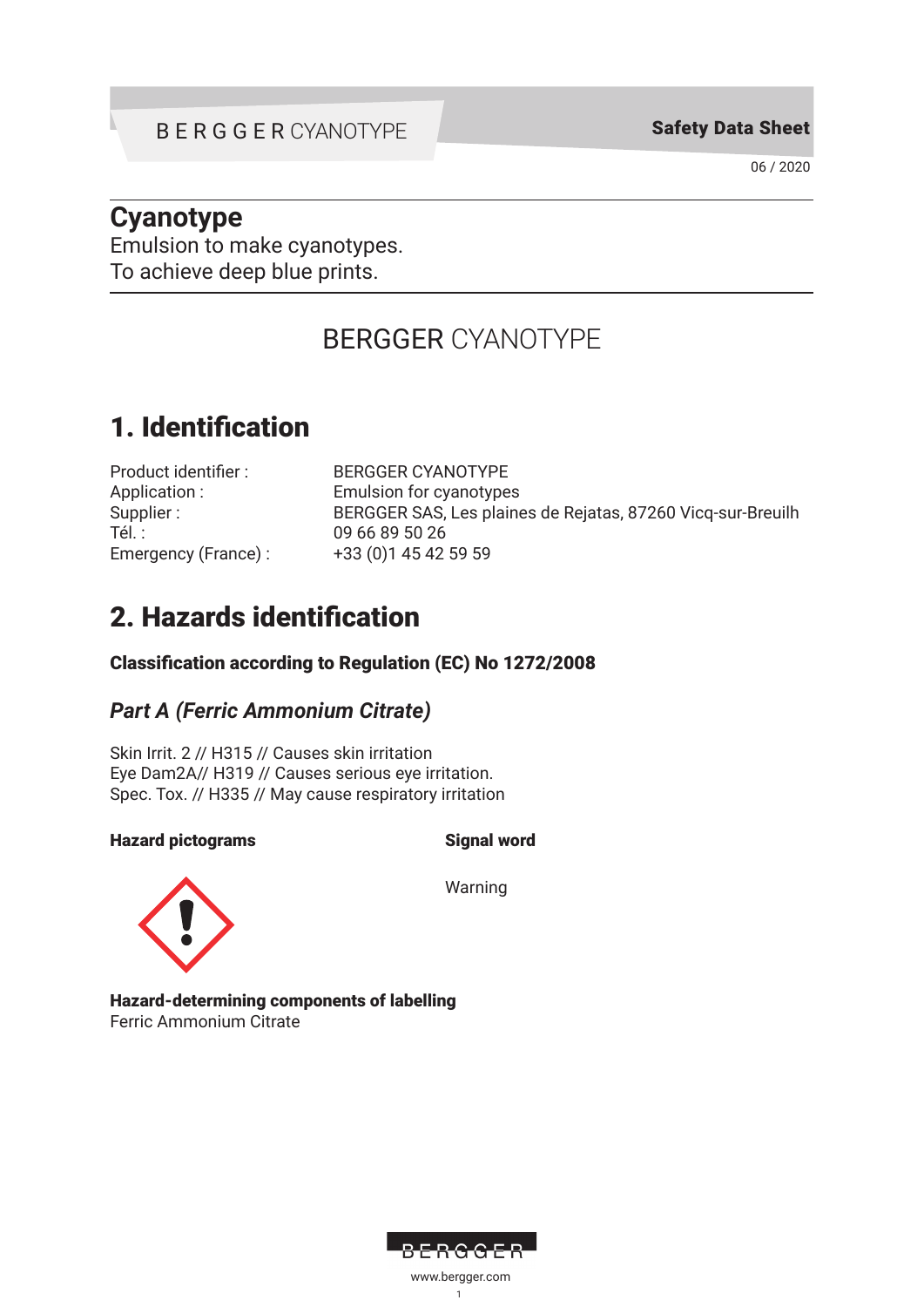06 / 2020

## **Cyanotype**

Emulsion to make cyanotypes. To achieve deep blue prints.

# BERGGER CYANOTYPE

# 1. Identification

| Product identifier: |
|---------------------|
| Application:        |
| Supplier :          |
| Tél. :              |
| Emergency (France): |

**BERGGER CYANOTYPE** Emulsion for cyanotypes BERGGER SAS, Les plaines de Rejatas, 87260 Vicq-sur-Breuilh 09 66 89 50 26 +33 (0)1 45 42 59 59

# 2. Hazards identification

### Classification according to Regulation (EC) No 1272/2008

### *Part A (Ferric Ammonium Citrate)*

Skin Irrit. 2 // H315 // Causes skin irritation Eye Dam2A// H319 // Causes serious eye irritation. Spec. Tox. // H335 // May cause respiratory irritation

### Hazard pictograms Signal word



Warning

Hazard-determining components of labelling Ferric Ammonium Citrate

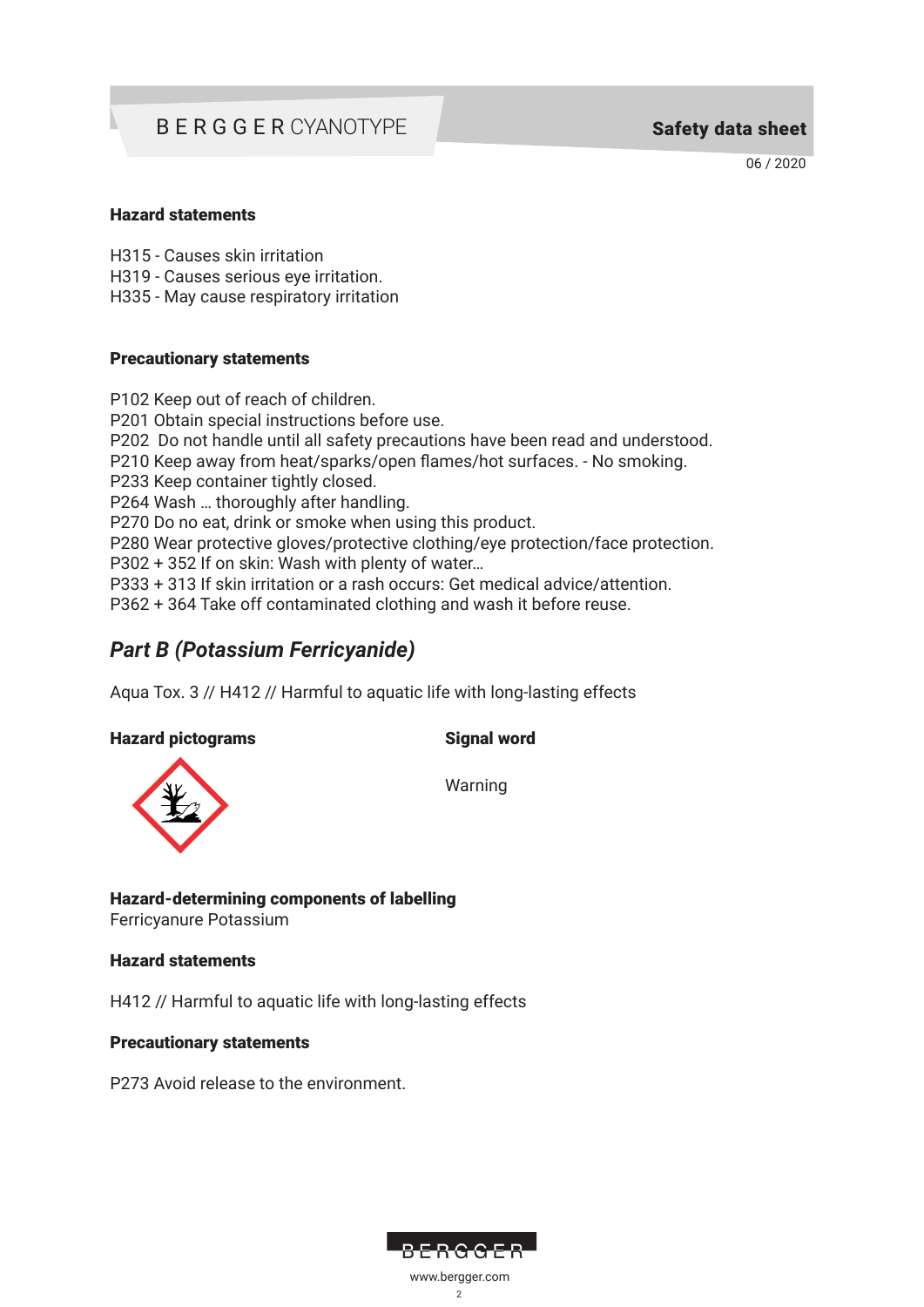06 / 2020

#### Hazard statements

H315 - Causes skin irritation

H319 - Causes serious eye irritation.

H335 - May cause respiratory irritation

#### Precautionary statements

P102 Keep out of reach of children. P201 Obtain special instructions before use. P202 Do not handle until all safety precautions have been read and understood. P210 Keep away from heat/sparks/open flames/hot surfaces. - No smoking. P233 Keep container tightly closed. P264 Wash … thoroughly after handling. P270 Do no eat, drink or smoke when using this product. P280 Wear protective gloves/protective clothing/eye protection/face protection. P302 + 352 If on skin: Wash with plenty of water… P333 + 313 If skin irritation or a rash occurs: Get medical advice/attention. P362 + 364 Take off contaminated clothing and wash it before reuse.

### *Part B (Potassium Ferricyanide)*

Aqua Tox. 3 // H412 // Harmful to aquatic life with long-lasting effects

Hazard pictograms Signal word



Warning

Hazard-determining components of labelling Ferricyanure Potassium

#### Hazard statements

H412 // Harmful to aquatic life with long-lasting effects

#### Precautionary statements

P273 Avoid release to the environment.



2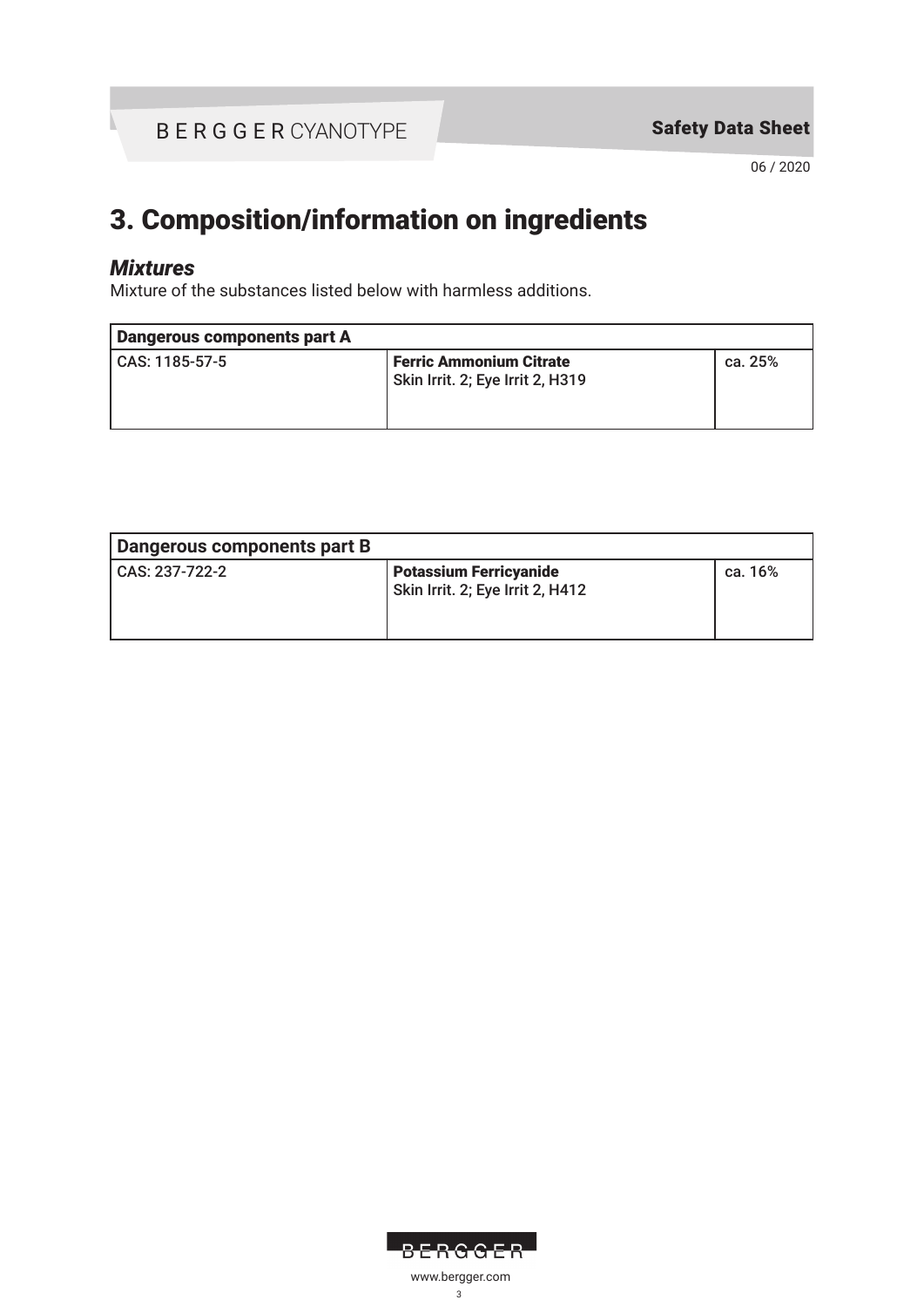06 / 2020

# 3. Composition/information on ingredients

### *Mixtures*

Mixture of the substances listed below with harmless additions.

| Dangerous components part A |                                                                    |         |
|-----------------------------|--------------------------------------------------------------------|---------|
| CAS: 1185-57-5              | <b>Ferric Ammonium Citrate</b><br>Skin Irrit. 2; Eye Irrit 2, H319 | ca. 25% |

| Dangerous components part B |                                                                   |         |
|-----------------------------|-------------------------------------------------------------------|---------|
| CAS: 237-722-2              | <b>Potassium Ferricyanide</b><br>Skin Irrit. 2; Eye Irrit 2, H412 | ca. 16% |

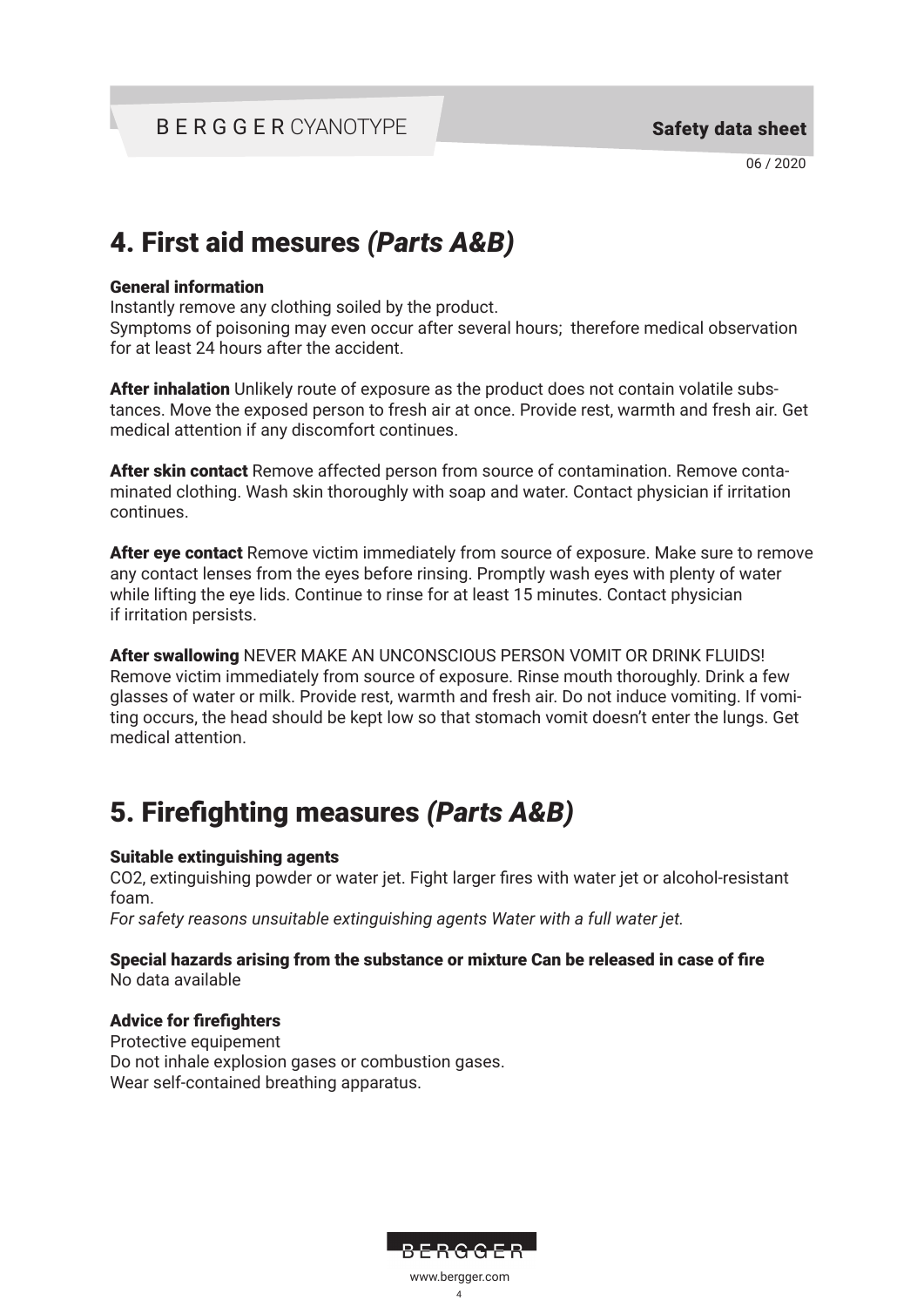# 4. First aid mesures *(Parts A&B)*

#### General information

Instantly remove any clothing soiled by the product.

Symptoms of poisoning may even occur after several hours; therefore medical observation for at least 24 hours after the accident.

After inhalation Unlikely route of exposure as the product does not contain volatile substances. Move the exposed person to fresh air at once. Provide rest, warmth and fresh air. Get medical attention if any discomfort continues.

After skin contact Remove affected person from source of contamination. Remove contaminated clothing. Wash skin thoroughly with soap and water. Contact physician if irritation continues.

After eye contact Remove victim immediately from source of exposure. Make sure to remove any contact lenses from the eyes before rinsing. Promptly wash eyes with plenty of water while lifting the eye lids. Continue to rinse for at least 15 minutes. Contact physician if irritation persists.

After swallowing NEVER MAKE AN UNCONSCIOUS PERSON VOMIT OR DRINK FLUIDS! Remove victim immediately from source of exposure. Rinse mouth thoroughly. Drink a few glasses of water or milk. Provide rest, warmth and fresh air. Do not induce vomiting. If vomiting occurs, the head should be kept low so that stomach vomit doesn't enter the lungs. Get medical attention.

# 5. Firefighting measures *(Parts A&B)*

### Suitable extinguishing agents

CO2, extinguishing powder or water jet. Fight larger fires with water jet or alcohol-resistant foam.

*For safety reasons unsuitable extinguishing agents Water with a full water jet.*

#### Special hazards arising from the substance or mixture Can be released in case of fire No data available

### Advice for firefighters

Protective equipement Do not inhale explosion gases or combustion gases. Wear self-contained breathing apparatus.



4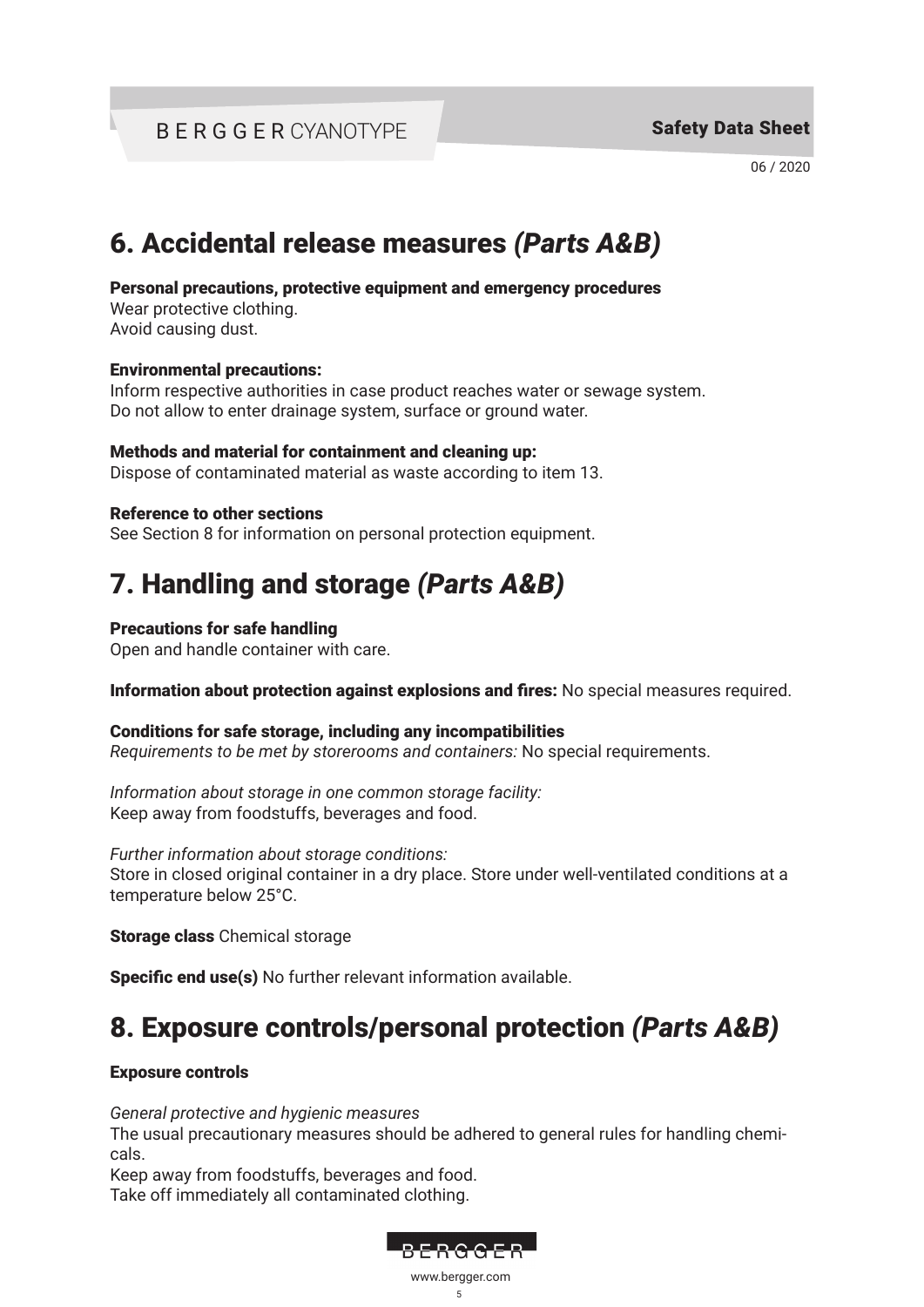06 / 2020

# 6. Accidental release measures *(Parts A&B)*

#### Personal precautions, protective equipment and emergency procedures

Wear protective clothing. Avoid causing dust.

#### Environmental precautions:

Inform respective authorities in case product reaches water or sewage system. Do not allow to enter drainage system, surface or ground water.

#### Methods and material for containment and cleaning up:

Dispose of contaminated material as waste according to item 13.

#### Reference to other sections

See Section 8 for information on personal protection equipment.

# 7. Handling and storage *(Parts A&B)*

#### Precautions for safe handling

Open and handle container with care.

#### Information about protection against explosions and fires: No special measures required.

#### Conditions for safe storage, including any incompatibilities

*Requirements to be met by storerooms and containers:* No special requirements.

*Information about storage in one common storage facility:* Keep away from foodstuffs, beverages and food.

*Further information about storage conditions:* Store in closed original container in a dry place. Store under well-ventilated conditions at a temperature below 25°C.

Storage class Chemical storage

Specific end use(s) No further relevant information available.

# 8. Exposure controls/personal protection *(Parts A&B)*

#### Exposure controls

*General protective and hygienic measures*

The usual precautionary measures should be adhered to general rules for handling chemicals.

Keep away from foodstuffs, beverages and food. Take off immediately all contaminated clothing.

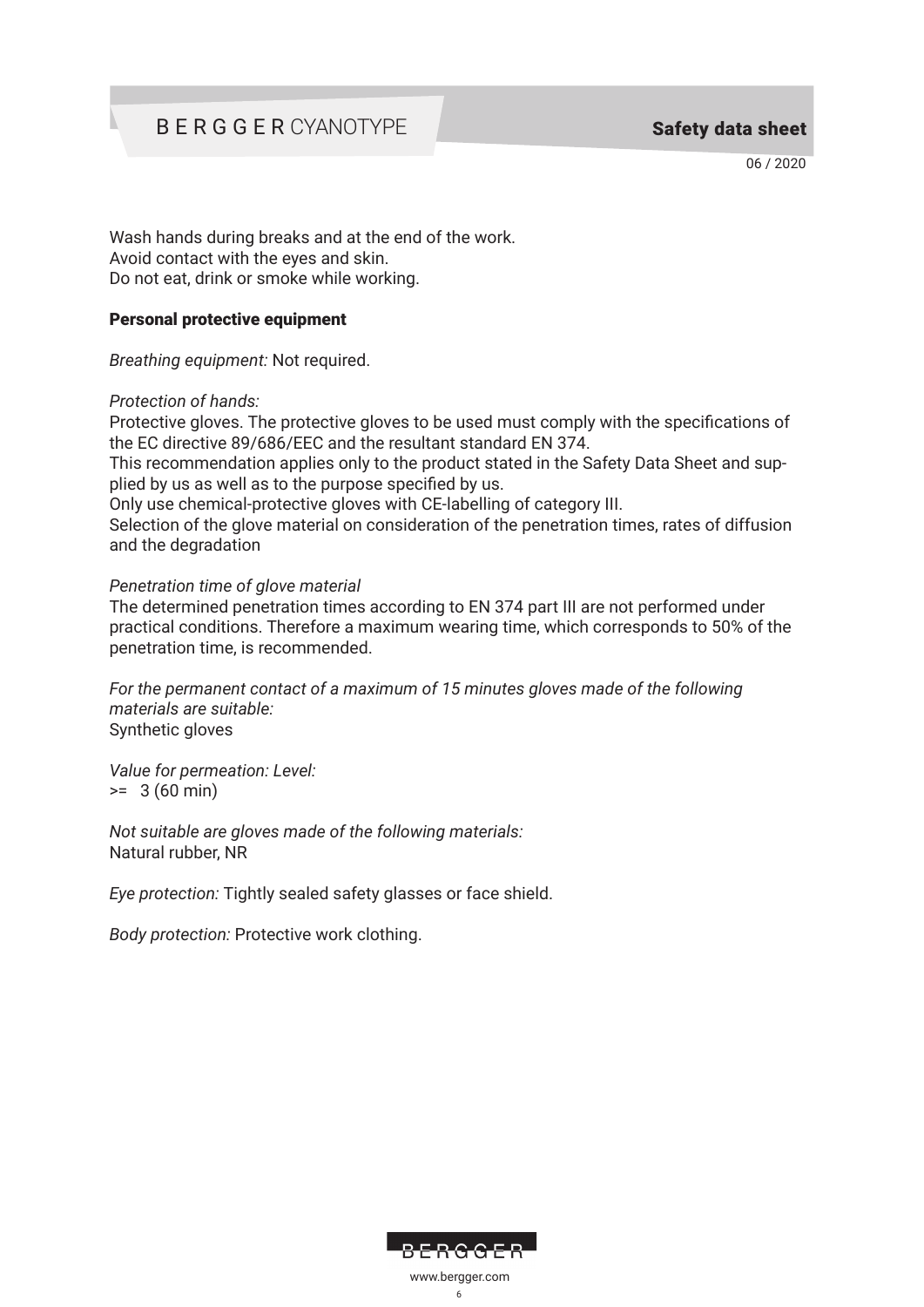06 / 2020

Wash hands during breaks and at the end of the work. Avoid contact with the eyes and skin. Do not eat, drink or smoke while working.

#### Personal protective equipment

*Breathing equipment:* Not required.

#### *Protection of hands:*

Protective gloves. The protective gloves to be used must comply with the specifications of the EC directive 89/686/EEC and the resultant standard EN 374.

This recommendation applies only to the product stated in the Safety Data Sheet and supplied by us as well as to the purpose specified by us.

Only use chemical-protective gloves with CE-labelling of category III.

Selection of the glove material on consideration of the penetration times, rates of diffusion and the degradation

#### *Penetration time of glove material*

The determined penetration times according to EN 374 part III are not performed under practical conditions. Therefore a maximum wearing time, which corresponds to 50% of the penetration time, is recommended.

*For the permanent contact of a maximum of 15 minutes gloves made of the following materials are suitable:* Synthetic gloves

*Value for permeation: Level:*  $= 3 (60 min)$ 

*Not suitable are gloves made of the following materials:*  Natural rubber, NR

*Eye protection:* Tightly sealed safety glasses or face shield.

*Body protection:* Protective work clothing.

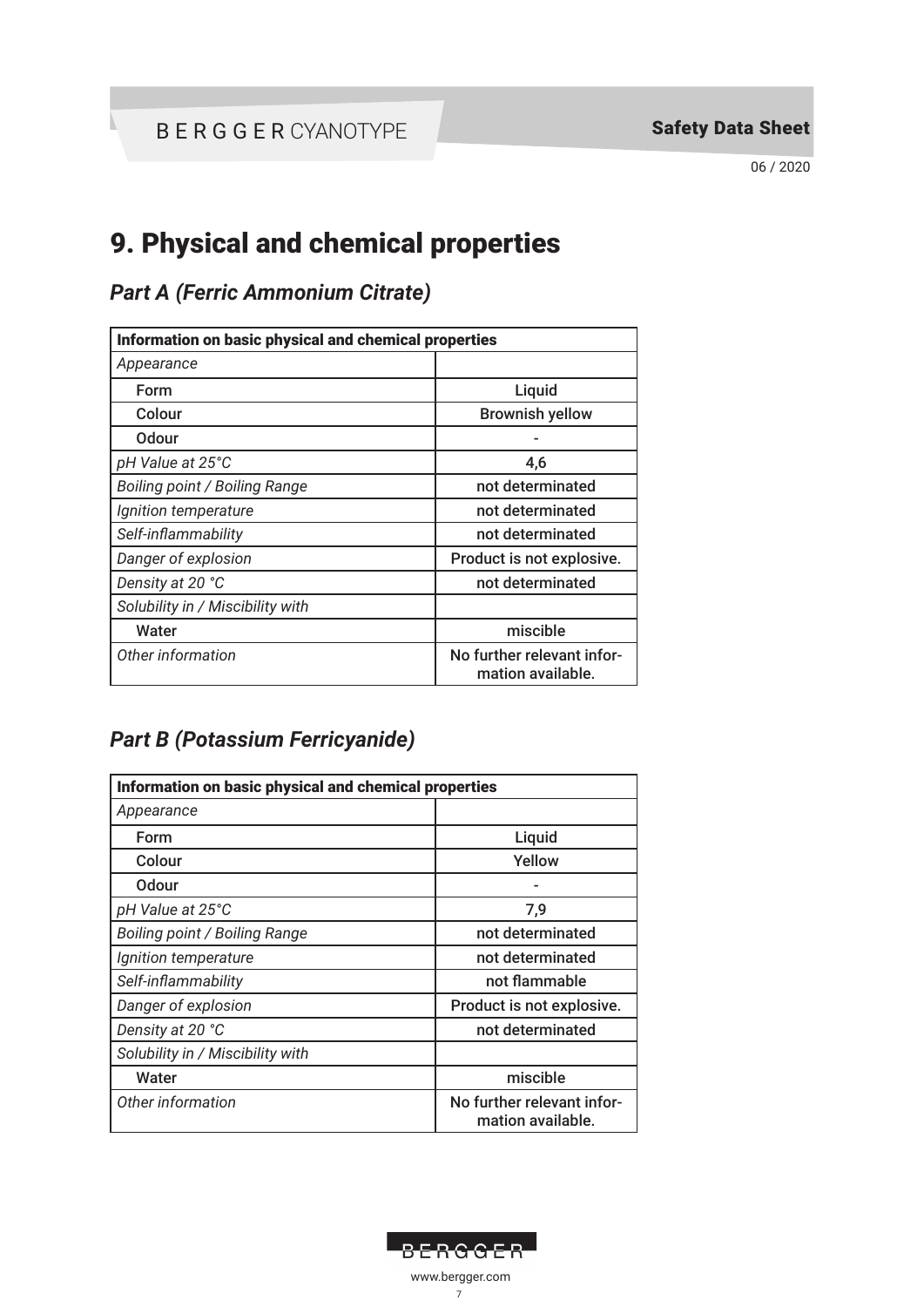06 / 2020

# 9. Physical and chemical properties

## *Part A (Ferric Ammonium Citrate)*

| Information on basic physical and chemical properties |                                                 |  |
|-------------------------------------------------------|-------------------------------------------------|--|
| Appearance                                            |                                                 |  |
| Form                                                  | Liquid                                          |  |
| Colour                                                | <b>Brownish yellow</b>                          |  |
| Odour                                                 |                                                 |  |
| pH Value at 25°C                                      | 4,6                                             |  |
| Boiling point / Boiling Range                         | not determinated                                |  |
| Ignition temperature                                  | not determinated                                |  |
| Self-inflammability                                   | not determinated                                |  |
| Danger of explosion                                   | Product is not explosive.                       |  |
| Density at 20 °C                                      | not determinated                                |  |
| Solubility in / Miscibility with                      |                                                 |  |
| Water                                                 | miscible                                        |  |
| Other information                                     | No further relevant infor-<br>mation available. |  |

### *Part B (Potassium Ferricyanide)*

| Information on basic physical and chemical properties |                                                 |  |
|-------------------------------------------------------|-------------------------------------------------|--|
| Appearance                                            |                                                 |  |
| Form                                                  | Liquid                                          |  |
| Colour                                                | Yellow                                          |  |
| Odour                                                 |                                                 |  |
| pH Value at 25°C                                      | 7,9                                             |  |
| Boiling point / Boiling Range                         | not determinated                                |  |
| Ignition temperature                                  | not determinated                                |  |
| Self-inflammability                                   | not flammable                                   |  |
| Danger of explosion                                   | Product is not explosive.                       |  |
| Density at 20 °C                                      | not determinated                                |  |
| Solubility in / Miscibility with                      |                                                 |  |
| Water                                                 | miscible                                        |  |
| Other information                                     | No further relevant infor-<br>mation available. |  |

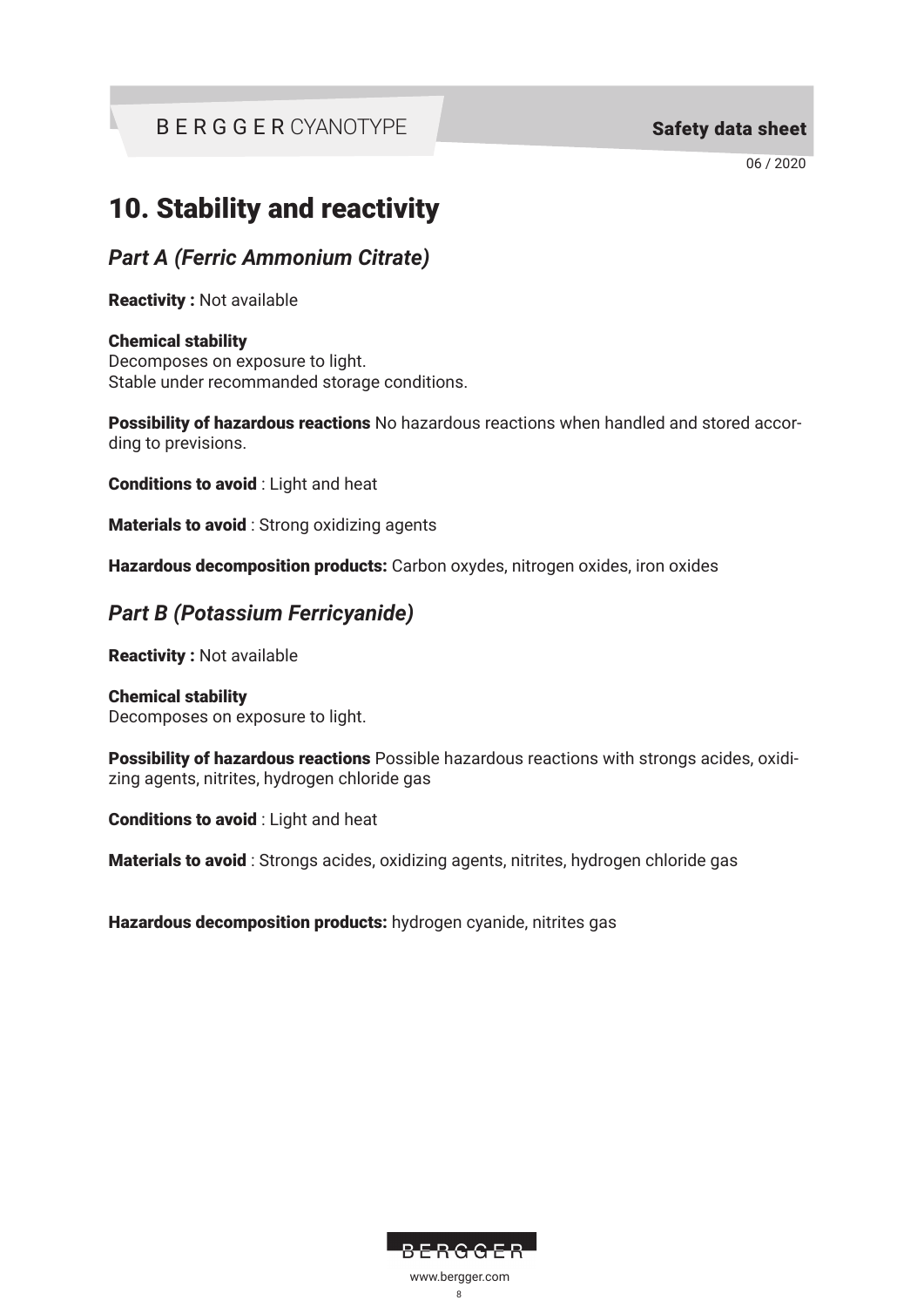06 / 2020

# 10. Stability and reactivity

*Part A (Ferric Ammonium Citrate)*

Reactivity : Not available

#### Chemical stability

Decomposes on exposure to light. Stable under recommanded storage conditions.

Possibility of hazardous reactions No hazardous reactions when handled and stored according to previsions.

Conditions to avoid : Light and heat

**Materials to avoid**: Strong oxidizing agents

Hazardous decomposition products: Carbon oxydes, nitrogen oxides, iron oxides

### *Part B (Potassium Ferricyanide)*

Reactivity : Not available

Chemical stability Decomposes on exposure to light.

Possibility of hazardous reactions Possible hazardous reactions with strongs acides, oxidizing agents, nitrites, hydrogen chloride gas

Conditions to avoid : Light and heat

Materials to avoid : Strongs acides, oxidizing agents, nitrites, hydrogen chloride gas

Hazardous decomposition products: hydrogen cyanide, nitrites gas

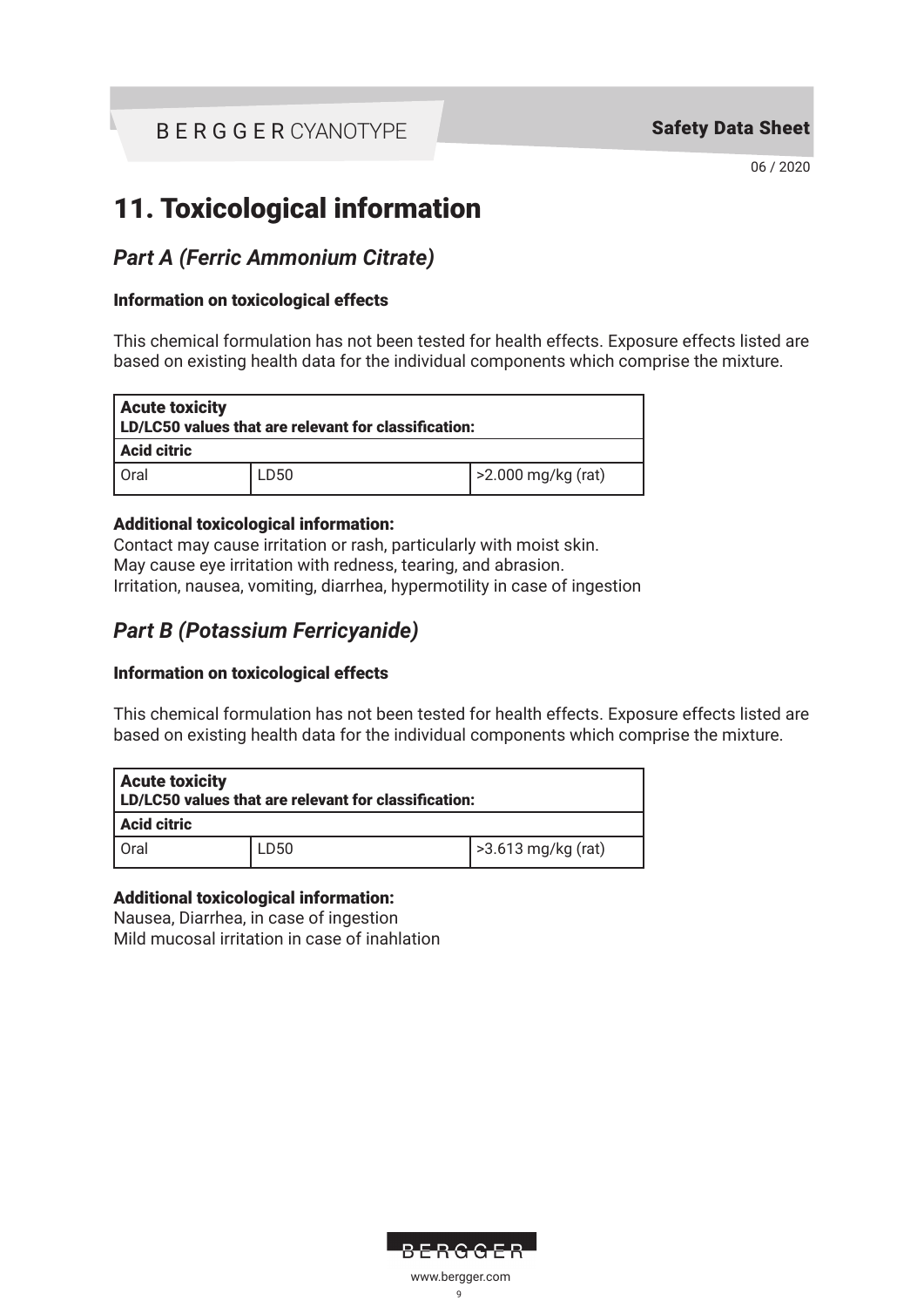06 / 2020

# 11. Toxicological information

### *Part A (Ferric Ammonium Citrate)*

#### Information on toxicological effects

This chemical formulation has not been tested for health effects. Exposure effects listed are based on existing health data for the individual components which comprise the mixture.

| <b>Acute toxicity</b><br>  LD/LC50 values that are relevant for classification: |      |                   |  |
|---------------------------------------------------------------------------------|------|-------------------|--|
| <b>Acid citric</b>                                                              |      |                   |  |
| Oral                                                                            | LD50 | 2.000 mg/kg (rat) |  |

### Additional toxicological information:

Contact may cause irritation or rash, particularly with moist skin. May cause eye irritation with redness, tearing, and abrasion. Irritation, nausea, vomiting, diarrhea, hypermotility in case of ingestion

## *Part B (Potassium Ferricyanide)*

### Information on toxicological effects

This chemical formulation has not been tested for health effects. Exposure effects listed are based on existing health data for the individual components which comprise the mixture.

| <b>Acute toxicity</b><br>LD/LC50 values that are relevant for classification: |      |                    |  |
|-------------------------------------------------------------------------------|------|--------------------|--|
| Acid citric                                                                   |      |                    |  |
| l Oral                                                                        | LD50 | >3.613 mg/kg (rat) |  |

### Additional toxicological information:

Nausea, Diarrhea, in case of ingestion Mild mucosal irritation in case of inahlation

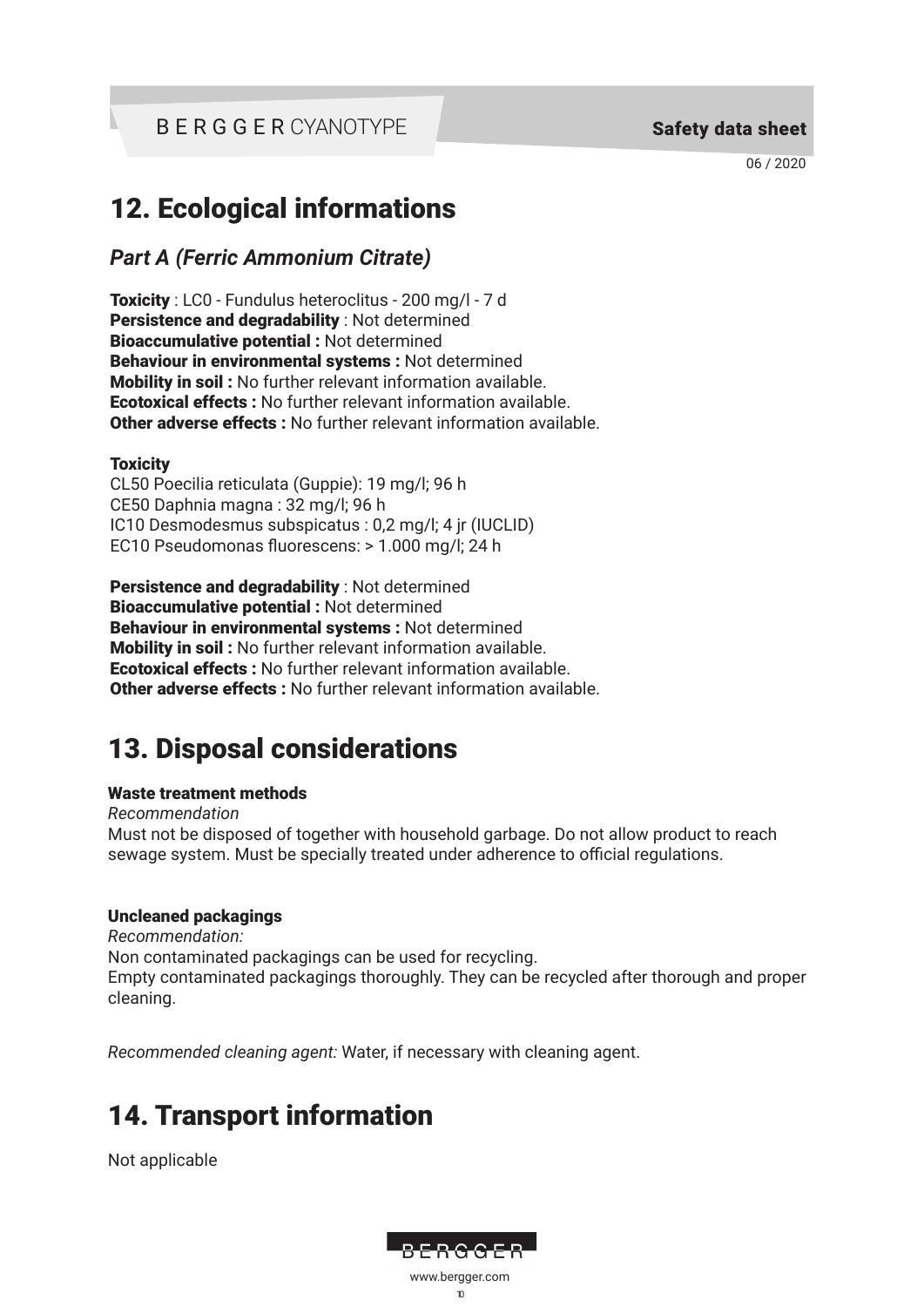06 / 2020

# 12. Ecological informations

*Part A (Ferric Ammonium Citrate)*

Toxicity : LC0 - Fundulus heteroclitus - 200 mg/l - 7 d Persistence and degradability : Not determined Bioaccumulative potential : Not determined Behaviour in environmental systems : Not determined Mobility in soil : No further relevant information available. Ecotoxical effects : No further relevant information available. Other adverse effects : No further relevant information available.

#### **Toxicity**

CL50 Poecilia reticulata (Guppie): 19 mg/l; 96 h CE50 Daphnia magna : 32 mg/l; 96 h IC10 Desmodesmus subspicatus : 0,2 mg/l; 4 jr (IUCLID) EC10 Pseudomonas fluorescens: > 1.000 mg/l; 24 h

Persistence and degradability : Not determined Bioaccumulative potential : Not determined Behaviour in environmental systems : Not determined Mobility in soil : No further relevant information available. Ecotoxical effects : No further relevant information available. Other adverse effects : No further relevant information available.

# 13. Disposal considerations

### Waste treatment methods

*Recommendation* Must not be disposed of together with household garbage. Do not allow product to reach sewage system. Must be specially treated under adherence to official regulations.

### Uncleaned packagings

*Recommendation:* Non contaminated packagings can be used for recycling. Empty contaminated packagings thoroughly. They can be recycled after thorough and proper cleaning.

*Recommended cleaning agent:* Water, if necessary with cleaning agent.

# 14. Transport information

Not applicable